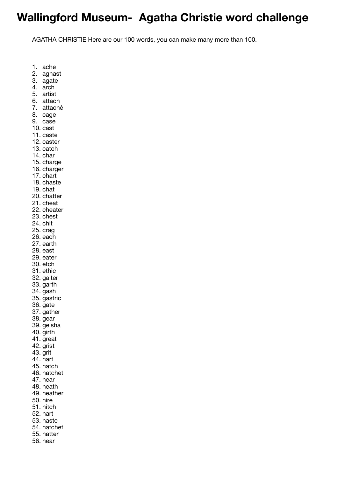## **Wallingford Museum- Agatha Christie word challenge**

AGATHA CHRISTIE Here are our 100 words, you can make many more than 100.

1. ache

- 2. aghast
- 3. agate
- 4. arch
- 5. artist
- 6. attach
- 7. attaché
- 8. cage
- 9. case
- 10. cast
- 11. caste
- 12. caster
- 13. catch
- 14. char
- 15. charge
- 16. charger
- 17. chart 18. chaste
- 19. chat
- 20. chatter
- 21. cheat
- 22. cheater
- 23. chest
- 24. chit
- 25. crag
- 26. each
- 27. earth
- 28. east
- 29. eater
- 30. etch
- 31. ethic
- 32. gaiter
- 33. garth
- 34. gash
- 35. gastric
- 36. gate
- 37. gather
- 38. gear 39. geisha
- 40. girth
- 41. great
- 42. grist
- 43. grit
- 44. hart
- 45. hatch
- 46. hatchet
- 47. hear
- 48. heath
- 49. heather
- 50. hire
- 51. hitch
- 52. hart
- 53. haste
- 54. hatchet
- 55. hatter
- 56. hear